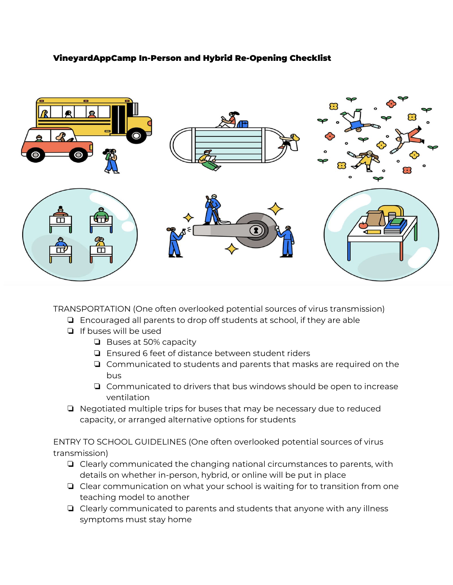# VineyardAppCamp In-Person and Hybrid Re-Opening Checklist



TRANSPORTATION (One often overlooked potential sources of virus transmission)

- ❏ Encouraged all parents to drop off students at school, if they are able
- ❏ If buses will be used
	- ❏ Buses at 50% capacity
	- ❏ Ensured 6 feet of distance between student riders
	- ❏ Communicated to students and parents that masks are required on the bus
	- ❏ Communicated to drivers that bus windows should be open to increase ventilation
- ❏ Negotiated multiple trips for buses that may be necessary due to reduced capacity, or arranged alternative options for students

ENTRY TO SCHOOL GUIDELINES (One often overlooked potential sources of virus transmission)

- ❏ Clearly communicated the changing national circumstances to parents, with details on whether in-person, hybrid, or online will be put in place
- ❏ Clear communication on what your school is waiting for to transition from one teaching model to another
- ❏ Clearly communicated to parents and students that anyone with any illness symptoms must stay home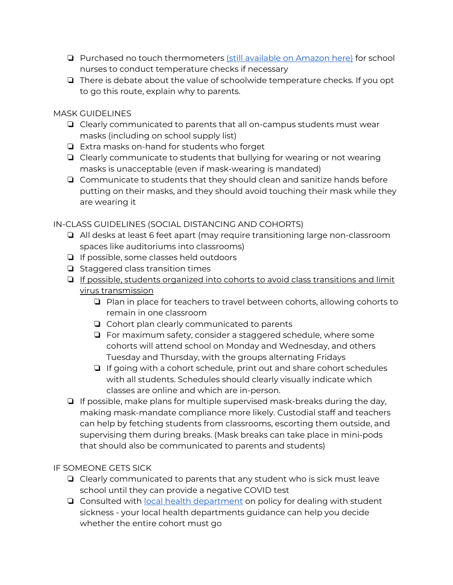- ❏ Purchased no touch thermometers (still [available](https://www.amazon.com/iHealth-Thermometer-Vibration-Notification-Thermopile/dp/B075QQ8VZW/ref=sr_1_1_sspa?dchild=1&gclid=CjwKCAjw1ej5BRBhEiwAfHyh1MPMhY5huKkzWoB3eTLywOZc-DrlA6dFwtEJwOKPHKyEVhLhpnA_ZxoC2K8QAvD_BwE&hvadid=404764060493&hvdev=c&hvlocphy=9003505&hvnetw=g&hvqmt=e&hvrand=14340105983278005223&hvtargid=kwd-307191069533&hydadcr=12576_11244625&keywords=no+touch+forehead+thermometer&qid=1597714125&sr=8-1-spons&tag=googhydr-20&psc=1&smid=A3CR6COA8J61N&spLa=ZW5jcnlwdGVkUXVhbGlmaWVyPUExTkI2UTA5RUNYRjRBJmVuY3J5cHRlZElkPUEwNTkzMTUwMU0zNTdXTU5OVlJSNyZlbmNyeXB0ZWRBZElkPUEwOTQ4MjQzM0E2TExYRVRaNjFRSyZ3aWRnZXROYW1lPXNwX2F0ZiZhY3Rpb249Y2xpY2tSZWRpcmVjdCZkb05vdExvZ0NsaWNrPXRydWU=) on Amazon here) for school nurses to conduct temperature checks if necessary
- ❏ There is debate about the value of schoolwide temperature checks. If you opt to go this route, explain why to parents.

# MASK GUIDELINES

- ❏ Clearly communicated to parents that all on-campus students must wear masks (including on school supply list)
- ❏ Extra masks on-hand for students who forget
- ❏ Clearly communicate to students that bullying for wearing or not wearing masks is unacceptable (even if mask-wearing is mandated)
- ❏ Communicate to students that they should clean and sanitize hands before putting on their masks, and they should avoid touching their mask while they are wearing it

# IN-CLASS GUIDELINES (SOCIAL DISTANCING AND COHORTS)

- ❏ All desks at least 6 feet apart (may require transitioning large non-classroom spaces like auditoriums into classrooms)
- ❏ If possible, some classes held outdoors
- ❏ Staggered class transition times
- ❏ If possible, students organized into cohorts to avoid class transitions and limit virus transmission
	- ❏ Plan in place for teachers to travel between cohorts, allowing cohorts to remain in one classroom
	- ❏ Cohort plan clearly communicated to parents
	- ❏ For maximum safety, consider a staggered schedule, where some cohorts will attend school on Monday and Wednesday, and others Tuesday and Thursday, with the groups alternating Fridays
	- ❏ If going with a cohort schedule, print out and share cohort schedules with all students. Schedules should clearly visually indicate which classes are online and which are in-person.
- ❏ If possible, make plans for multiple supervised mask-breaks during the day, making mask-mandate compliance more likely. Custodial staff and teachers can help by fetching students from classrooms, escorting them outside, and supervising them during breaks. (Mask breaks can take place in mini-pods that should also be communicated to parents and students)

# IF SOMEONE GETS SICK

- ❏ Clearly communicated to parents that any student who is sick must leave school until they can provide a negative COVID test
- ❏ Consulted with local health [department](https://www.naccho.org/membership/lhd-directory) on policy for dealing with student sickness - your local health departments guidance can help you decide whether the entire cohort must go